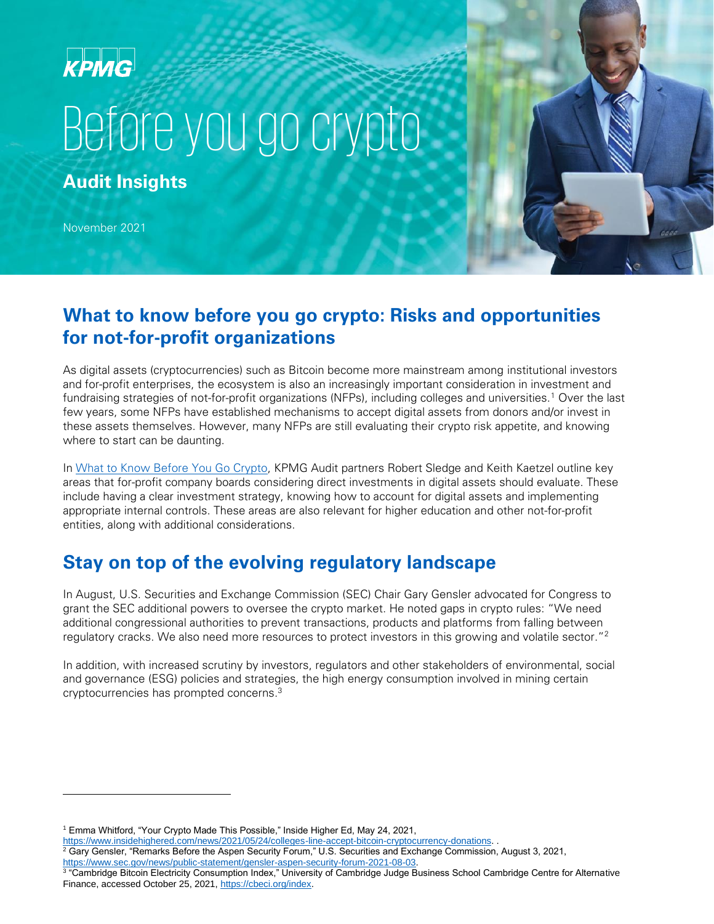# **KPMG**

# Before you go crypto

**Audit Insights**

November 2021

#### **What to know before you go crypto: Risks and opportunities for not-for-profit organizations**

As digital assets (cryptocurrencies) such as Bitcoin become more mainstream among institutional investors and for-profit enterprises, the ecosystem is also an increasingly important consideration in investment and fundraising strategies of not-for-profit organizations (NFPs), including colleges and universities.<sup>1</sup> Over the last few years, some NFPs have established mechanisms to accept digital assets from donors and/or invest in these assets themselves. However, many NFPs are still evaluating their crypto risk appetite, and knowing where to start can be daunting.

In [What to Know Before You Go Crypto,](https://info.kpmg.us/news-perspectives/advancing-the-profession/what-to-know-before-you-go-crypto.html) KPMG Audit partners Robert Sledge and Keith Kaetzel outline key areas that for-profit company boards considering direct investments in digital assets should evaluate. These include having a clear investment strategy, knowing how to account for digital assets and implementing appropriate internal controls. These areas are also relevant for higher education and other not-for-profit entities, along with additional considerations.

## **Stay on top of the evolving regulatory landscape**

In August, U.S. Securities and Exchange Commission (SEC) Chair Gary Gensler advocated for Congress to grant the SEC additional powers to oversee the crypto market. He noted gaps in crypto rules: "We need additional congressional authorities to prevent transactions, products and platforms from falling between regulatory cracks. We also need more resources to protect investors in this growing and volatile sector."<sup>2</sup>

In addition, with increased scrutiny by investors, regulators and other stakeholders of environmental, social and governance (ESG) policies and strategies, the high energy consumption involved in mining certain cryptocurrencies has prompted concerns.<sup>3</sup>

[https://www.insidehighered.com/news/2021/05/24/colleges-line-accept-bitcoin-cryptocurrency-donations.](https://www.insidehighered.com/news/2021/05/24/colleges-line-accept-bitcoin-cryptocurrency-donations) .

<sup>1</sup> Emma Whitford, "Your Crypto Made This Possible," Inside Higher Ed, May 24, 2021,

 $^2$  Gary Gensler, "Remarks Before the Aspen Security Forum," U.S. Securities and Exchange Commission, August 3, 2021, [https://www.sec.gov/news/public-statement/gensler-aspen-security-forum-2021-08-03.](https://www.sec.gov/news/public-statement/gensler-aspen-security-forum-2021-08-03) 

<sup>3</sup> "Cambridge Bitcoin Electricity Consumption Index," University of Cambridge Judge Business School Cambridge Centre for Alternative Finance, accessed October 25, 2021, [https://cbeci.org/index.](https://cbeci.org/index)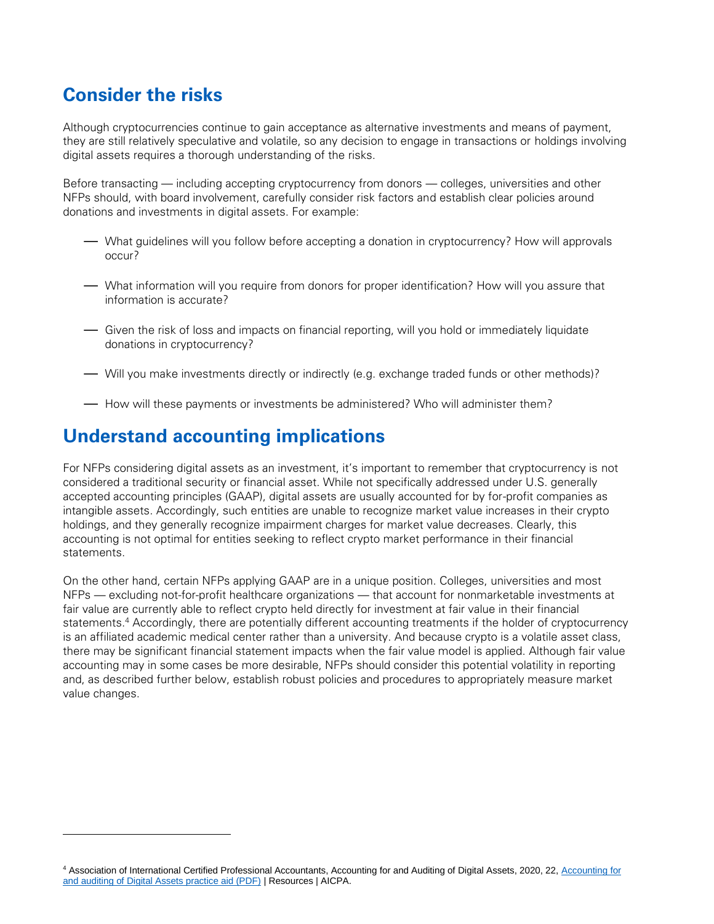## **Consider the risks**

Although cryptocurrencies continue to gain acceptance as alternative investments and means of payment, they are still relatively speculative and volatile, so any decision to engage in transactions or holdings involving digital assets requires a thorough understanding of the risks.

Before transacting — including accepting cryptocurrency from donors — colleges, universities and other NFPs should, with board involvement, carefully consider risk factors and establish clear policies around donations and investments in digital assets. For example:

- What guidelines will you follow before accepting a donation in cryptocurrency? How will approvals occur?
- What information will you require from donors for proper identification? How will you assure that information is accurate?
- Given the risk of loss and impacts on financial reporting, will you hold or immediately liquidate donations in cryptocurrency?
- Will you make investments directly or indirectly (e.g. exchange traded funds or other methods)?
- How will these payments or investments be administered? Who will administer them?

## **Understand accounting implications**

For NFPs considering digital assets as an investment, it's important to remember that cryptocurrency is not considered a traditional security or financial asset. While not specifically addressed under U.S. generally accepted accounting principles (GAAP), digital assets are usually accounted for by for-profit companies as intangible assets. Accordingly, such entities are unable to recognize market value increases in their crypto holdings, and they generally recognize impairment charges for market value decreases. Clearly, this accounting is not optimal for entities seeking to reflect crypto market performance in their financial statements.

On the other hand, certain NFPs applying GAAP are in a unique position. Colleges, universities and most NFPs — excluding not-for-profit healthcare organizations — that account for nonmarketable investments at fair value are currently able to reflect crypto held directly for investment at fair value in their financial statements.<sup>4</sup> Accordingly, there are potentially different accounting treatments if the holder of cryptocurrency is an affiliated academic medical center rather than a university. And because crypto is a volatile asset class, there may be significant financial statement impacts when the fair value model is applied. Although fair value accounting may in some cases be more desirable, NFPs should consider this potential volatility in reporting and, as described further below, establish robust policies and procedures to appropriately measure market value changes.

<sup>4</sup> Association of International Certified Professional Accountants[, Accounting for](https://www.aicpa.org/resources/download/accounting-for-and-auditing-of-digital-assets-practice-aid-pdf) and Auditing of Digital Assets, 2020, 22, Accounting for [and auditing of Digital Assets practice aid \(PDF\)](https://www.aicpa.org/resources/download/accounting-for-and-auditing-of-digital-assets-practice-aid-pdf) | Resources | AICPA.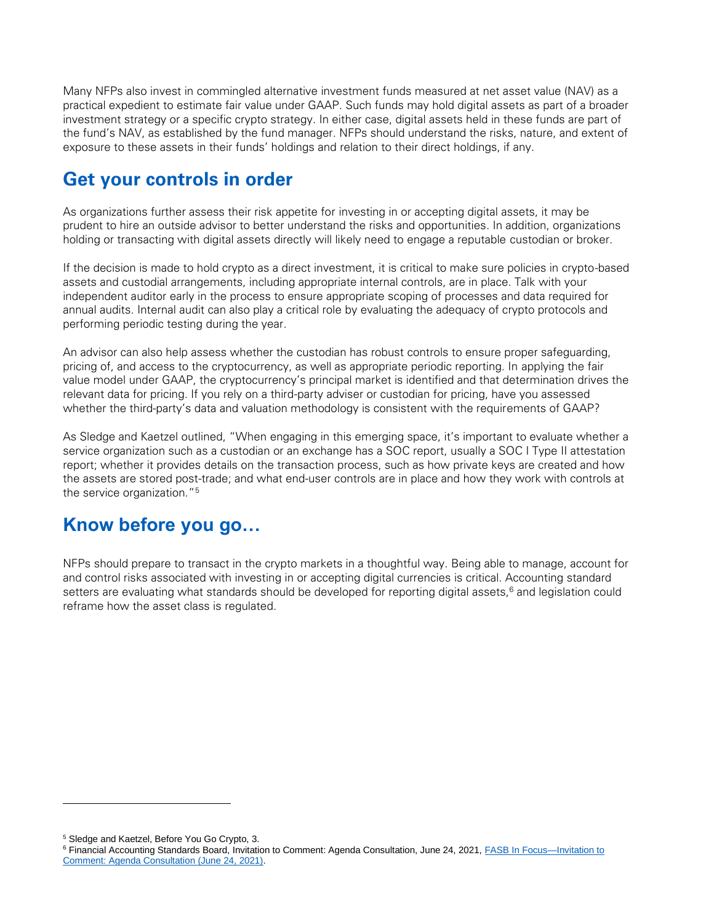Many NFPs also invest in commingled alternative investment funds measured at net asset value (NAV) as a practical expedient to estimate fair value under GAAP. Such funds may hold digital assets as part of a broader investment strategy or a specific crypto strategy. In either case, digital assets held in these funds are part of the fund's NAV, as established by the fund manager. NFPs should understand the risks, nature, and extent of exposure to these assets in their funds' holdings and relation to their direct holdings, if any.

### **Get your controls in order**

As organizations further assess their risk appetite for investing in or accepting digital assets, it may be prudent to hire an outside advisor to better understand the risks and opportunities. In addition, organizations holding or transacting with digital assets directly will likely need to engage a reputable custodian or broker.

If the decision is made to hold crypto as a direct investment, it is critical to make sure policies in crypto-based assets and custodial arrangements, including appropriate internal controls, are in place. Talk with your independent auditor early in the process to ensure appropriate scoping of processes and data required for annual audits. Internal audit can also play a critical role by evaluating the adequacy of crypto protocols and performing periodic testing during the year.

An advisor can also help assess whether the custodian has robust controls to ensure proper safeguarding, pricing of, and access to the cryptocurrency, as well as appropriate periodic reporting. In applying the fair value model under GAAP, the cryptocurrency's principal market is identified and that determination drives the relevant data for pricing. If you rely on a third-party adviser or custodian for pricing, have you assessed whether the third-party's data and valuation methodology is consistent with the requirements of GAAP?

As Sledge and Kaetzel outlined, "When engaging in this emerging space, it's important to evaluate whether a service organization such as a custodian or an exchange has a SOC report, usually a SOC I Type II attestation report; whether it provides details on the transaction process, such as how private keys are created and how the assets are stored post-trade; and what end-user controls are in place and how they work with controls at the service organization."<sup>5</sup>

#### **Know before you go…**

NFPs should prepare to transact in the crypto markets in a thoughtful way. Being able to manage, account for and control risks associated with investing in or accepting digital currencies is critical. Accounting standard setters are evaluating what standards should be developed for reporting digital assets,<sup>6</sup> and legislation could reframe how the asset class is regulated.

<sup>5</sup> Sledge and Kaetzel, Before You Go Crypto, 3.

<sup>6</sup> Financial Accounting Standards Board, Invitation to Comment: Agenda Consultation, June 24, 2021[, FASB In Focus—Invitation to](https://www.fasb.org/cs/Satellite?cid=1176176829623&pagename=FASB%2FFASBContent_C%2FGeneralContentDisplay)  [Comment: Agenda Consultation \(June 24, 2021\).](https://www.fasb.org/cs/Satellite?cid=1176176829623&pagename=FASB%2FFASBContent_C%2FGeneralContentDisplay)